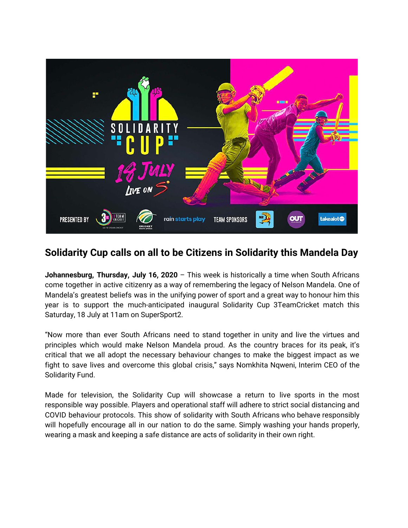

## **Solidarity Cup calls on all to be Citizens in Solidarity this Mandela Day**

**Johannesburg, Thursday, July 16, 2020** – This week is historically a time when South Africans come together in active citizenry as a way of remembering the legacy of Nelson Mandela. One of Mandela's greatest beliefs was in the unifying power of sport and a great way to honour him this year is to support the much-anticipated inaugural Solidarity Cup 3TeamCricket match this Saturday, 18 July at 11am on SuperSport2.

"Now more than ever South Africans need to stand together in unity and live the virtues and principles which would make Nelson Mandela proud. As the country braces for its peak, it's critical that we all adopt the necessary behaviour changes to make the biggest impact as we fight to save lives and overcome this global crisis," says Nomkhita Nqweni, Interim CEO of the Solidarity Fund.

Made for television, the Solidarity Cup will showcase a return to live sports in the most responsible way possible. Players and operational staff will adhere to strict social distancing and COVID behaviour protocols. This show of solidarity with South Africans who behave responsibly will hopefully encourage all in our nation to do the same. Simply washing your hands properly, wearing a mask and keeping a safe distance are acts of solidarity in their own right.